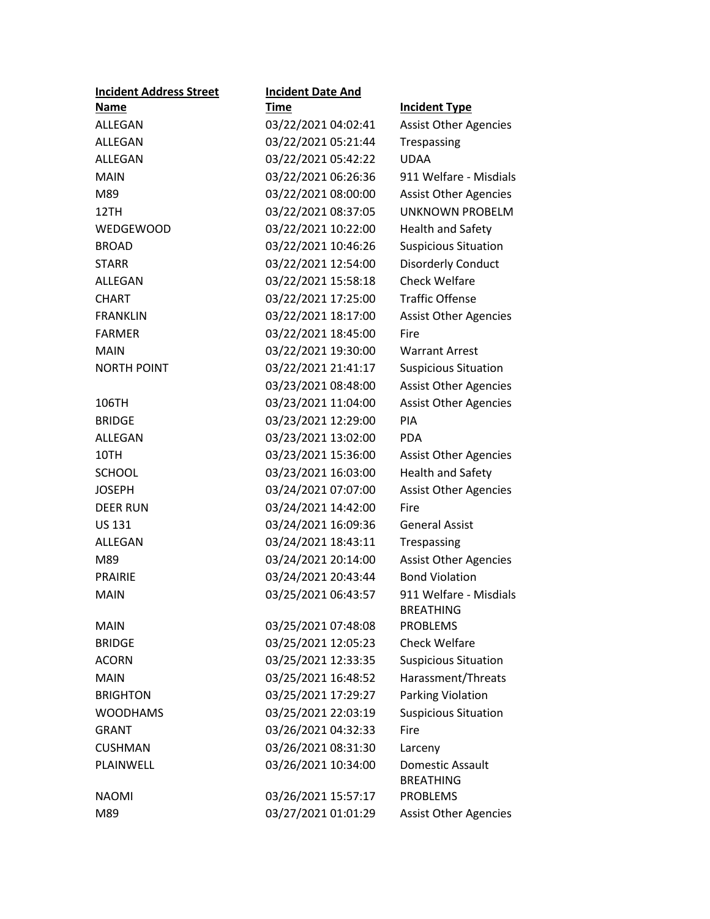| <b>Incident Address Street</b> | <b>Incident Date And</b> |                                            |
|--------------------------------|--------------------------|--------------------------------------------|
| <u>Name</u>                    | <u>Time</u>              | <b>Incident Type</b>                       |
| ALLEGAN                        | 03/22/2021 04:02:41      | <b>Assist Other Agencies</b>               |
| ALLEGAN                        | 03/22/2021 05:21:44      | Trespassing                                |
| ALLEGAN                        | 03/22/2021 05:42:22      | <b>UDAA</b>                                |
| <b>MAIN</b>                    | 03/22/2021 06:26:36      | 911 Welfare - Misdials                     |
| M89                            | 03/22/2021 08:00:00      | <b>Assist Other Agencies</b>               |
| 12TH                           | 03/22/2021 08:37:05      | UNKNOWN PROBELM                            |
| <b>WEDGEWOOD</b>               | 03/22/2021 10:22:00      | <b>Health and Safety</b>                   |
| <b>BROAD</b>                   | 03/22/2021 10:46:26      | <b>Suspicious Situation</b>                |
| <b>STARR</b>                   | 03/22/2021 12:54:00      | <b>Disorderly Conduct</b>                  |
| ALLEGAN                        | 03/22/2021 15:58:18      | <b>Check Welfare</b>                       |
| <b>CHART</b>                   | 03/22/2021 17:25:00      | <b>Traffic Offense</b>                     |
| <b>FRANKLIN</b>                | 03/22/2021 18:17:00      | <b>Assist Other Agencies</b>               |
| <b>FARMER</b>                  | 03/22/2021 18:45:00      | Fire                                       |
| <b>MAIN</b>                    | 03/22/2021 19:30:00      | <b>Warrant Arrest</b>                      |
| <b>NORTH POINT</b>             | 03/22/2021 21:41:17      | <b>Suspicious Situation</b>                |
|                                | 03/23/2021 08:48:00      | <b>Assist Other Agencies</b>               |
| 106TH                          | 03/23/2021 11:04:00      | <b>Assist Other Agencies</b>               |
| <b>BRIDGE</b>                  | 03/23/2021 12:29:00      | PIA                                        |
| ALLEGAN                        | 03/23/2021 13:02:00      | <b>PDA</b>                                 |
| 10TH                           | 03/23/2021 15:36:00      | <b>Assist Other Agencies</b>               |
| <b>SCHOOL</b>                  | 03/23/2021 16:03:00      | <b>Health and Safety</b>                   |
| <b>JOSEPH</b>                  | 03/24/2021 07:07:00      | <b>Assist Other Agencies</b>               |
| <b>DEER RUN</b>                | 03/24/2021 14:42:00      | Fire                                       |
| <b>US 131</b>                  | 03/24/2021 16:09:36      | <b>General Assist</b>                      |
| ALLEGAN                        | 03/24/2021 18:43:11      | Trespassing                                |
| M89                            | 03/24/2021 20:14:00      | <b>Assist Other Agencies</b>               |
| <b>PRAIRIE</b>                 | 03/24/2021 20:43:44      | <b>Bond Violation</b>                      |
| <b>MAIN</b>                    | 03/25/2021 06:43:57      | 911 Welfare - Misdials<br><b>BREATHING</b> |
| MAIN                           | 03/25/2021 07:48:08      | <b>PROBLEMS</b>                            |
| <b>BRIDGE</b>                  | 03/25/2021 12:05:23      | <b>Check Welfare</b>                       |
| <b>ACORN</b>                   | 03/25/2021 12:33:35      | <b>Suspicious Situation</b>                |
| <b>MAIN</b>                    | 03/25/2021 16:48:52      | Harassment/Threats                         |
| <b>BRIGHTON</b>                | 03/25/2021 17:29:27      | Parking Violation                          |
| <b>WOODHAMS</b>                | 03/25/2021 22:03:19      | <b>Suspicious Situation</b>                |
| <b>GRANT</b>                   | 03/26/2021 04:32:33      | Fire                                       |
| <b>CUSHMAN</b>                 | 03/26/2021 08:31:30      | Larceny                                    |
| PLAINWELL                      | 03/26/2021 10:34:00      | Domestic Assault                           |
|                                |                          | <b>BREATHING</b>                           |
| <b>NAOMI</b>                   | 03/26/2021 15:57:17      | <b>PROBLEMS</b>                            |
| M89                            | 03/27/2021 01:01:29      | <b>Assist Other Agencies</b>               |